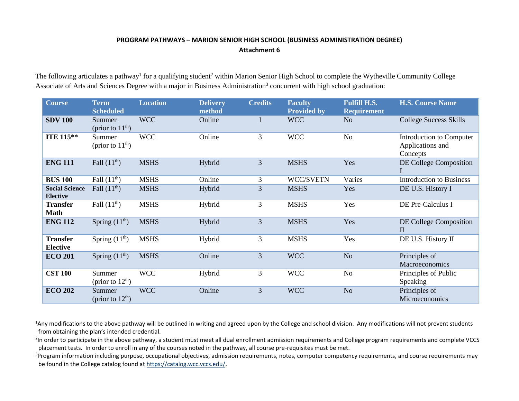## **PROGRAM PATHWAYS – MARION SENIOR HIGH SCHOOL (BUSINESS ADMINISTRATION DEGREE) Attachment 6**

The following articulates a pathway<sup>1</sup> for a qualifying student<sup>2</sup> within Marion Senior High School to complete the Wytheville Community College Associate of Arts and Sciences Degree with a major in Business Administration<sup>3</sup> concurrent with high school graduation:

| <b>Course</b>                            | <b>Term</b><br><b>Scheduled</b> | <b>Location</b> | <b>Delivery</b><br>method | <b>Credits</b> | <b>Faculty</b><br><b>Provided by</b> | <b>Fulfill H.S.</b><br><b>Requirement</b> | <b>H.S. Course Name</b>                                         |
|------------------------------------------|---------------------------------|-----------------|---------------------------|----------------|--------------------------------------|-------------------------------------------|-----------------------------------------------------------------|
| <b>SDV 100</b>                           | Summer<br>(prior to $11th$ )    | <b>WCC</b>      | Online                    | $\mathbf{1}$   | <b>WCC</b>                           | N <sub>o</sub>                            | <b>College Success Skills</b>                                   |
| <b>ITE 115**</b>                         | Summer<br>(prior to $11th$ )    | <b>WCC</b>      | Online                    | 3              | <b>WCC</b>                           | No                                        | <b>Introduction to Computer</b><br>Applications and<br>Concepts |
| <b>ENG 111</b>                           | Fall $(11^{\text{th}})$         | <b>MSHS</b>     | Hybrid                    | 3              | <b>MSHS</b>                          | Yes                                       | DE College Composition                                          |
| <b>BUS 100</b>                           | Fall $(11th)$                   | <b>MSHS</b>     | Online                    | 3              | WCC/SVETN                            | Varies                                    | <b>Introduction to Business</b>                                 |
| <b>Social Science</b><br><b>Elective</b> | Fall $(11th)$                   | <b>MSHS</b>     | Hybrid                    | 3              | <b>MSHS</b>                          | Yes                                       | DE U.S. History I                                               |
| <b>Transfer</b><br><b>Math</b>           | Fall $(11th)$                   | <b>MSHS</b>     | Hybrid                    | 3              | <b>MSHS</b>                          | Yes                                       | DE Pre-Calculus I                                               |
| <b>ENG 112</b>                           | Spring $(11th)$                 | <b>MSHS</b>     | Hybrid                    | 3              | <b>MSHS</b>                          | Yes                                       | DE College Composition<br>$\mathbf{I}$                          |
| <b>Transfer</b><br><b>Elective</b>       | Spring $(11th)$                 | <b>MSHS</b>     | Hybrid                    | $\mathfrak{Z}$ | <b>MSHS</b>                          | Yes                                       | DE U.S. History II                                              |
| <b>ECO 201</b>                           | Spring $(11th)$                 | <b>MSHS</b>     | Online                    | 3              | <b>WCC</b>                           | N <sub>o</sub>                            | Principles of<br>Macroeconomics                                 |
| <b>CST 100</b>                           | Summer<br>(prior to $12th$ )    | <b>WCC</b>      | Hybrid                    | $\mathfrak{Z}$ | <b>WCC</b>                           | No                                        | Principles of Public<br>Speaking                                |
| <b>ECO 202</b>                           | Summer<br>(prior to $12th$ )    | <b>WCC</b>      | Online                    | 3              | <b>WCC</b>                           | No                                        | Principles of<br>Microeconomics                                 |

<sup>1</sup>Any modifications to the above pathway will be outlined in writing and agreed upon by the College and school division. Any modifications will not prevent students from obtaining the plan's intended credential.

<sup>2</sup>In order to participate in the above pathway, a student must meet all dual enrollment admission requirements and College program requirements and complete VCCS placement tests. In order to enroll in any of the courses noted in the pathway, all course pre-requisites must be met.

<sup>3</sup>Program information including purpose, occupational objectives, admission requirements, notes, computer competency requirements, and course requirements may be found in the College catalog found a[t https://catalog.wcc.vccs.edu/](https://catalog.wcc.vccs.edu/).